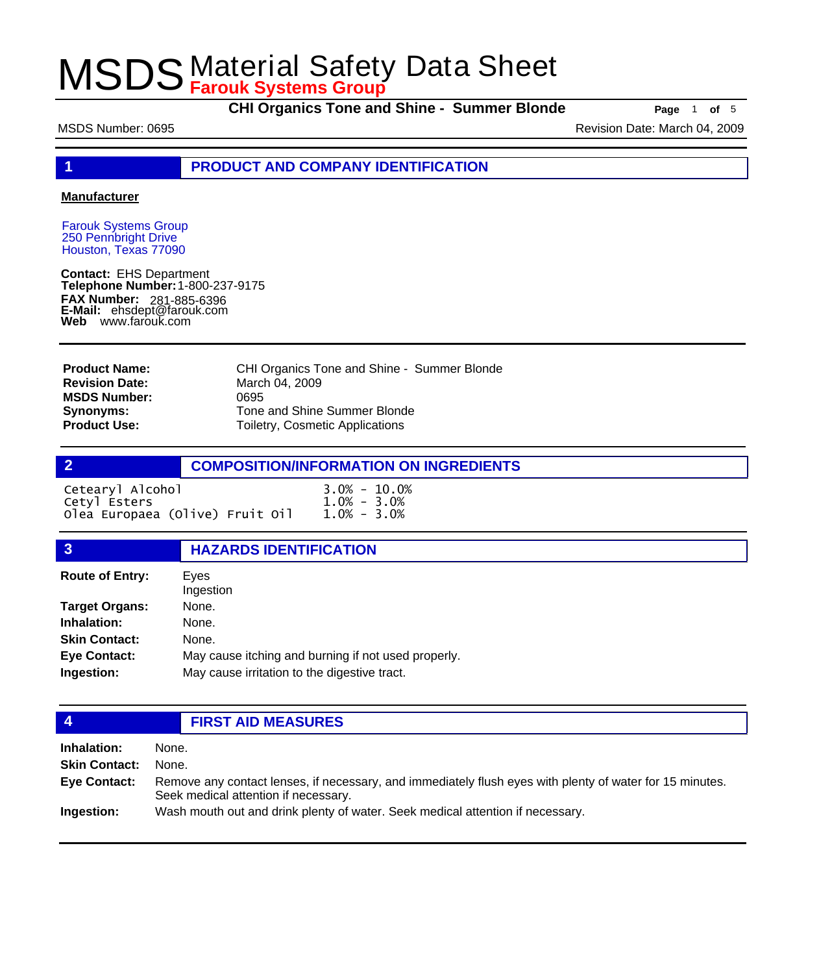**CHI Organics Tone and Shine - Summer Blonde Page** 1 of 5

MSDS Number: 0695 **Revision Date: March 04, 2009** Revision Date: March 04, 2009

**1 PRODUCT AND COMPANY IDENTIFICATION**

#### **Manufacturer**

Farouk Systems Group 250 Pennbright Drive Houston, Texas 77090

**Contact:** EHS Department **Telephone Number:** 1-800-237-9175 **FAX Number: FAX Number:** 281-885-6396<br>**E-Mail:** ehsdept@farouk.com **Web** www.farouk.com

CHI Organics Tone and Shine - Summer Blonde March 04, 2009 0695 Tone and Shine Summer Blonde Toiletry, Cosmetic Applications **Product Name: Revision Date: MSDS Number: Synonyms: Product Use:**

|                  | <b>COMPOSITION/INFORMATION ON INGREDIENTS</b> |
|------------------|-----------------------------------------------|
| Cetearyl Alcohol | $3.0\% - 10.0\%$                              |
| Cetvl Esters     | $1.0\% - 3.0\%$                               |

| $CCCCQ1$ , $T1$ , $CQ11Q$       | ---             |  |
|---------------------------------|-----------------|--|
| Cetyl Esters                    | $1.0\% - 3.0\%$ |  |
| Olea Europaea (Olive) Fruit Oil | $1.0\% - 3.0\%$ |  |
|                                 |                 |  |

#### **3 HAZARDS IDENTIFICATION**

| <b>Route of Entry:</b> | Eves<br>Ingestion                                   |
|------------------------|-----------------------------------------------------|
| <b>Target Organs:</b>  | None.                                               |
| Inhalation:            | None.                                               |
| <b>Skin Contact:</b>   | None.                                               |
| <b>Eye Contact:</b>    | May cause itching and burning if not used properly. |
| Ingestion:             | May cause irritation to the digestive tract.        |

### **4 FIRST AID MEASURES**

**Inhalation:** None. **Skin Contact:** None. Remove any contact lenses, if necessary, and immediately flush eyes with plenty of water for 15 minutes. Seek medical attention if necessary. **Eye Contact: Ingestion:** Wash mouth out and drink plenty of water. Seek medical attention if necessary.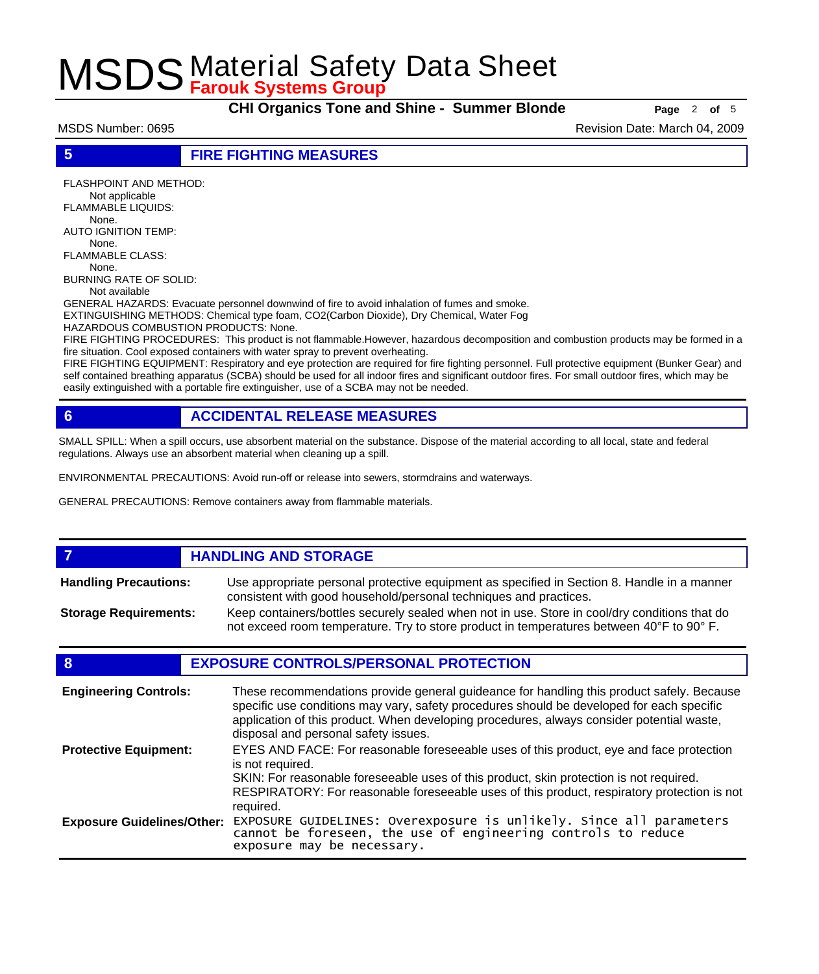**CHI Organics Tone and Shine - Summer Blonde Page** <sup>2</sup> **of** <sup>5</sup>

MSDS Number: 0695 **Revision Date: March 04, 2009** Revision Date: March 04, 2009

**5 FIRE FIGHTING MEASURES**

FLASHPOINT AND METHOD: Not applicable FLAMMABLE LIQUIDS: None. AUTO IGNITION TEMP: None. FLAMMABLE CLASS: None. BURNING RATE OF SOLID:

Not available

GENERAL HAZARDS: Evacuate personnel downwind of fire to avoid inhalation of fumes and smoke. EXTINGUISHING METHODS: Chemical type foam, CO2(Carbon Dioxide), Dry Chemical, Water Fog

HAZARDOUS COMBUSTION PRODUCTS: None.

FIRE FIGHTING PROCEDURES: This product is not flammable.However, hazardous decomposition and combustion products may be formed in a fire situation. Cool exposed containers with water spray to prevent overheating.

FIRE FIGHTING EQUIPMENT: Respiratory and eye protection are required for fire fighting personnel. Full protective equipment (Bunker Gear) and self contained breathing apparatus (SCBA) should be used for all indoor fires and significant outdoor fires. For small outdoor fires, which may be easily extinguished with a portable fire extinguisher, use of a SCBA may not be needed.

### **6 ACCIDENTAL RELEASE MEASURES**

SMALL SPILL: When a spill occurs, use absorbent material on the substance. Dispose of the material according to all local, state and federal regulations. Always use an absorbent material when cleaning up a spill.

ENVIRONMENTAL PRECAUTIONS: Avoid run-off or release into sewers, stormdrains and waterways.

GENERAL PRECAUTIONS: Remove containers away from flammable materials.

#### *HANDLING AND STORAGE* Use appropriate personal protective equipment as specified in Section 8. Handle in a manner consistent with good household/personal techniques and practices. **Handling Precautions:** Keep containers/bottles securely sealed when not in use. Store in cool/dry conditions that do not exceed room temperature. Try to store product in temperatures between 40°F to 90° F. **Storage Requirements:**

### **8 EXPOSURE CONTROLS/PERSONAL PROTECTION**

| <b>Engineering Controls:</b>      | These recommendations provide general guideance for handling this product safely. Because<br>specific use conditions may vary, safety procedures should be developed for each specific<br>application of this product. When developing procedures, always consider potential waste,<br>disposal and personal safety issues. |
|-----------------------------------|-----------------------------------------------------------------------------------------------------------------------------------------------------------------------------------------------------------------------------------------------------------------------------------------------------------------------------|
| <b>Protective Equipment:</b>      | EYES AND FACE: For reasonable foreseeable uses of this product, eye and face protection<br>is not required.<br>SKIN: For reasonable foreseeable uses of this product, skin protection is not required.<br>RESPIRATORY: For reasonable foreseeable uses of this product, respiratory protection is not<br>required.          |
| <b>Exposure Guidelines/Other:</b> | EXPOSURE GUIDELINES: Overexposure is unlikely. Since all parameters cannot be foreseen, the use of engineering controls to reduce<br>exposure may be necessary.                                                                                                                                                             |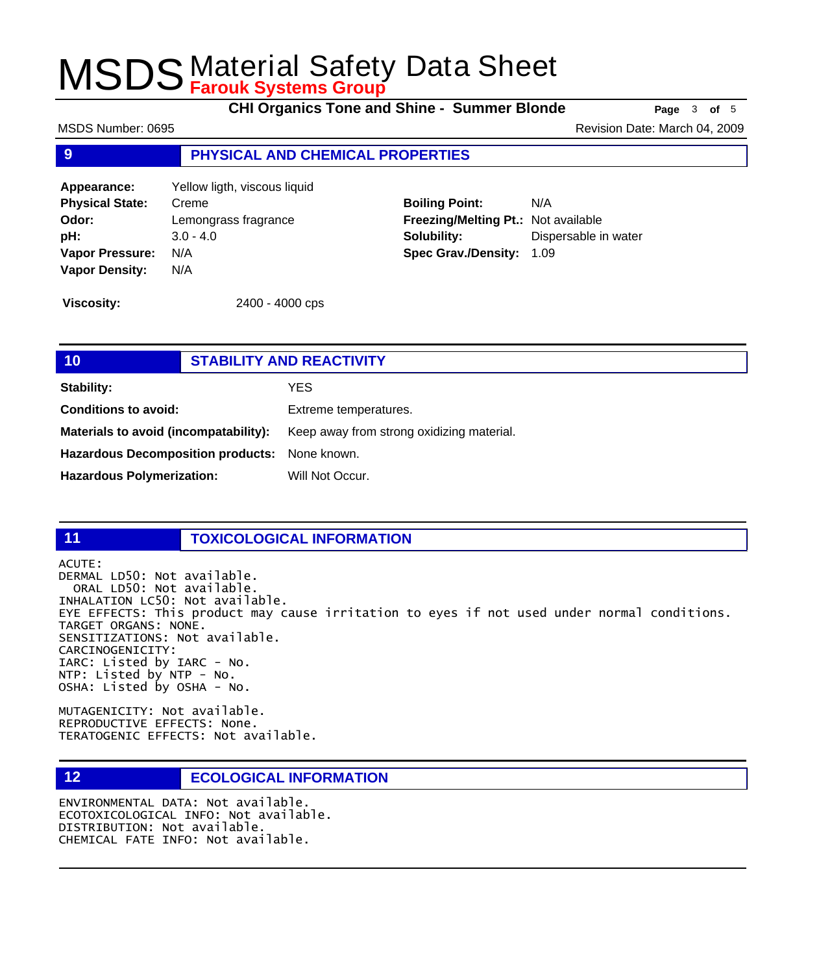**CHI Organics Tone and Shine - Summer Blonde Page** <sup>3</sup> **of** <sup>5</sup>

MSDS Number: 0695 Revision Date: March 04, 2009

#### **9 PHYSICAL AND CHEMICAL PROPERTIES**

**Appearance:** Yellow ligth, viscous liquid **Physical State:** Creme **Odor:** Lemongrass fragrance **pH:** 3.0 - 4.0 **Vapor Pressure:** N/A **Vapor Density:** N/A

**Boiling Point:** N/A **Freezing/Melting Pt.:** Not available **Solubility:** Dispersable in water **Spec Grav./Density:** 1.09

**Viscosity:** 2400 - 4000 cps

### **10 STABILITY AND REACTIVITY Stability:** YES **Conditions to avoid:** Extreme temperatures. Materials to avoid (incompatability): Keep away from strong oxidizing material. **Hazardous Decomposition products:** None known. Hazardous Polymerization: Will Not Occur.

#### **11 TOXICOLOGICAL INFORMATION**

ACUTE:

DERMAL LD50: Not available. ORAL LD50: Not available. INHALATION LC50: Not available. EYE EFFECTS: This product may cause irritation to eyes if not used under normal conditions. TARGET ORGANS: NONE. SENSITIZATIONS: Not available. CARCINOGENICITY: IARC: Listed by IARC - No. NTP: Listed by NTP - No. OSHA: Listed by OSHA - No.

MUTAGENICITY: Not available. REPRODUCTIVE EFFECTS: None. TERATOGENIC EFFECTS: Not available.

### **12 ECOLOGICAL INFORMATION**

ENVIRONMENTAL DATA: Not available. ECOTOXICOLOGICAL INFO: Not available. DISTRIBUTION: Not available. CHEMICAL FATE INFO: Not available.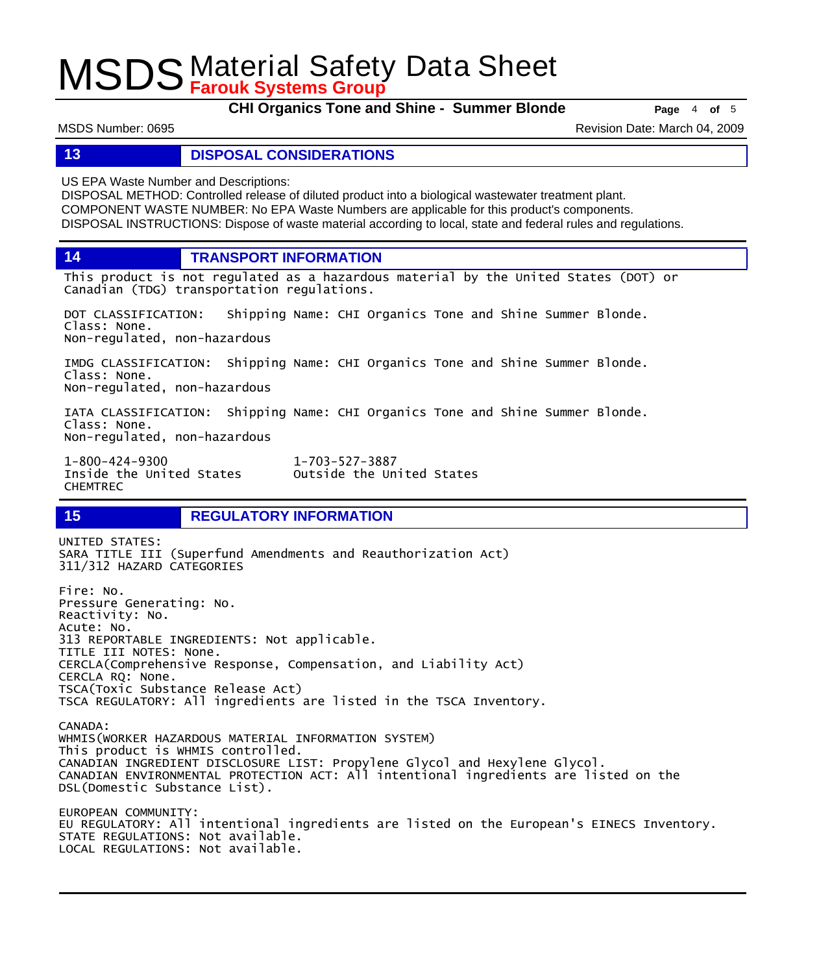**CHI Organics Tone and Shine - Summer Blonde Page** <sup>4</sup> **of** <sup>5</sup>

MSDS Number: 0695 **Revision Date: March 04, 2009** Revision Date: March 04, 2009

#### **13 DISPOSAL CONSIDERATIONS**

US EPA Waste Number and Descriptions:

DISPOSAL METHOD: Controlled release of diluted product into a biological wastewater treatment plant. COMPONENT WASTE NUMBER: No EPA Waste Numbers are applicable for this product's components. DISPOSAL INSTRUCTIONS: Dispose of waste material according to local, state and federal rules and regulations.

**14 TRANSPORT INFORMATION**

This product is not regulated as a hazardous material by the United States (DOT) or Canadian (TDG) transportation regulations.

DOT CLASSIFICATION: Shipping Name: CHI Organics Tone and Shine Summer Blonde. Class: None. Non-regulated, non-hazardous

IMDG CLASSIFICATION: Shipping Name: CHI Organics Tone and Shine Summer Blonde. Class: None. Non-regulated, non-hazardous

IATA CLASSIFICATION: Shipping Name: CHI Organics Tone and Shine Summer Blonde. Class: None. Non-regulated, non-hazardous

Outside the United States

1-800-424-9300 1-703-527-3887 CHEMTREC

### **15 REGULATORY INFORMATION**

UNITED STATES: SARA TITLE III (Superfund Amendments and Reauthorization Act) 311/312 HAZARD CATEGORIES Fire: No. Pressure Generating: No. Reactivity: No. Acute: No. 313 REPORTABLE INGREDIENTS: Not applicable. TITLE III NOTES: None. CERCLA(Comprehensive Response, Compensation, and Liability Act) CERCLA RQ: None. TSCA(Toxic Substance Release Act) TSCA REGULATORY: All ingredients are listed in the TSCA Inventory. CANADA: WHMIS(WORKER HAZARDOUS MATERIAL INFORMATION SYSTEM) This product is WHMIS controlled. CANADIAN INGREDIENT DISCLOSURE LIST: Propylene Glycol and Hexylene Glycol. CANADIAN ENVIRONMENTAL PROTECTION ACT: All intentional ingredients are listed on the DSL(Domestic Substance List). EUROPEAN COMMUNITY: EU REGULATORY: All intentional ingredients are listed on the European's EINECS Inventory. STATE REGULATIONS: Not available. LOCAL REGULATIONS: Not available.